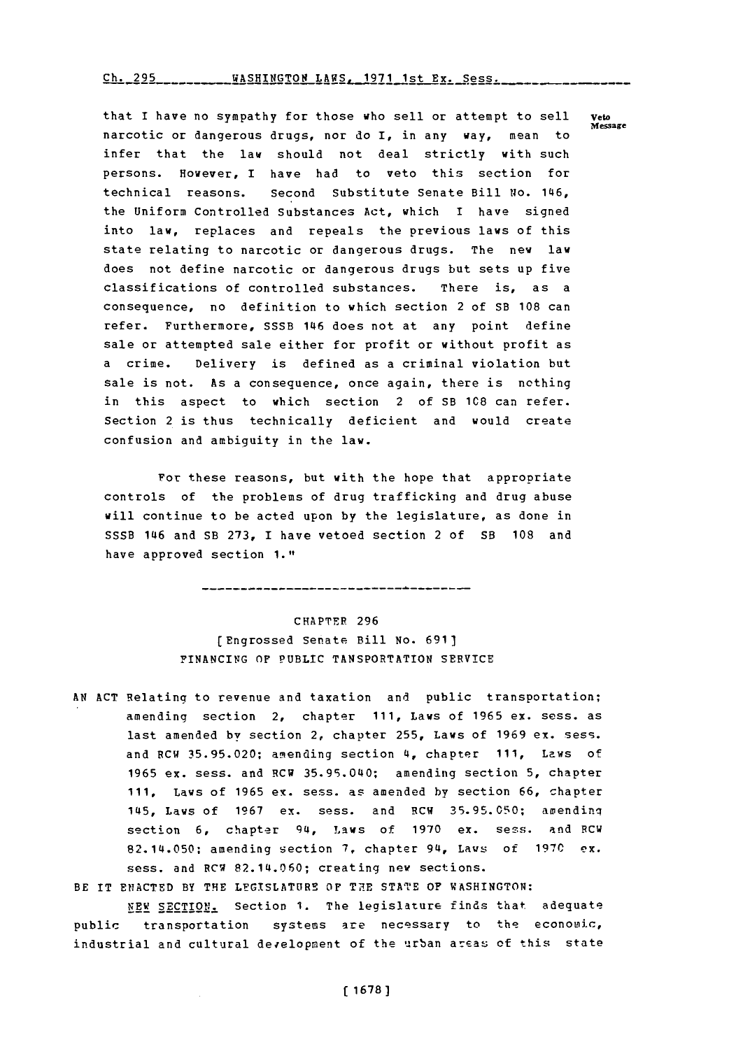that I have no sympathy for those who sell or attempt to sell narcotic or dangerous drugs, nor do I, in any way, mean to infer that the law should not deal strictly with such persons. However, I have had to veto this section for technical reasons. Second Substitute Senate Bill No. 1146, the Uniform Controlled substances Act, which **I** have signed into law, replaces and repeals the previous laws of this state relating to narcotic or dangerous drugs. The new law does not define narcotic or dangerous drugs but sets up five classifications of controlled substances. There is, as a consequence, no definition to which section 2 of SB **108** can refer. Furthermore, **SSSB** 1146 does not at any point define sale or attempted sale either for profit or without profit as a crime. Delivery is defined as a criminal violation but sale is not. As a consequence, once again, there is nothing in this aspect to which section 2 of SB **108** can refer. Section 2 is thus technically deficient and would create confusion and ambiguity in the law.

For these reasons, but with the hope that appropriate controls of the problems of drug trafficking and drug abuse will continue to be acted upon **by** the legislature, as done in **SSSB** 1146 and SB **273,** I have vetoed section 2 of SB **108** and have approved section 1."

-------------------------------------

## CHAPTER **296** (Engrossed Senate Bill **No. 6911 FINANCING OF PUBLIC TANSPORTATION** SERVICE

**AN ACT** Relating to revenue and taxation and public transportation; amending section 2, chapter **111,** Laws of **1965** ex. sess. as last amended by section 2, chapter **255,** Laws of **1969** ex. sess. and RCW **35.95.020;** amending section 14, chapter **111,** Laws of **1965** ex. sess. and RCW 35.99.040; amending section **5,** chapter **111,** Laws of **1965** ex. sess. as amended by section **66,** chapter 145, Laws of **1967** ex. sess. and RCW **35.951.050;** amendinq section 6, chapter 94, Laws of 1970 ex. sess. and RCW 82.114.050; amending section **7,** chapter 914, Laws; of **1970** ex. sess. and **RC%** 82.114.060; creating new sections.

BE IT ENACTED BY THE LEGISLATURE OF THE STATE OF WASHINGTON:

**NEW SECTION.** Section **1.** The legislature finds that adequate public transportation systems are necessary to the economic, industrial and cultural development of the urban areas of this state

**message**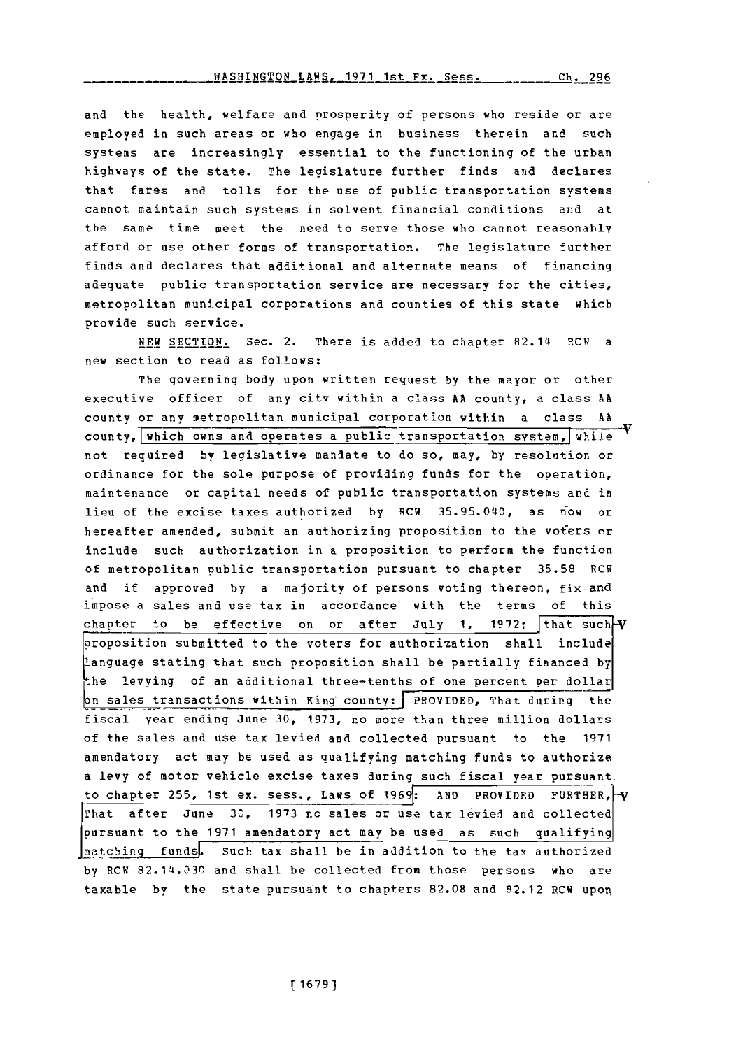and the health, welfare and prosperity of persons who reside or are employed in such areas or who engage in business therein and such systems are increasingly essential to the functioning of the urban highways of the state. The legislature further finds and declares that fares and tolls for the use of public transportation systems cannot maintain such systems in solvent financial conditions and at the same time meet the need to serve those who cannot reasonably afford or use other forms of transportation. The legislature further finds and declares that additional and alternate means of financing adequate public transportation service are necessary for the cities, metropolitan municipal corporations and counties of this state which provide such service.

NEW SECTION. Sec. 2. There is added to chapter 82.14 RCW a new section to read as follows:

The governing body upon written request **by** the mayor or other executive officer of any city within a class **AA** county, a class **AA** county or any metropolitan municipal corporation within a class **AA** county, which owns and operates a public transportation system, while not required **by** legislative mandate to do so, may, **by** resolution or ordinance for the sole purpose of providing funds for the operation, maintenance or capital needs of public transportation systems and in lieu of the excise taxes authorized **by** RCW **35.95.040,** as **n** ow or hereafter amended, submit an authorizing proposition to the voters or include such authorization in a proposition to perform the function of metropolitan public transportation pursuant to chapter **35.58** RCW and if approved **by** a majority of persons voting thereon, fix and impose a sales and use tax in accordance with the terms of this chapter to be effective on or after July 1, 1972; that such-V proposition submitted to the voters for authorization shall include language stating that such proposition shall be partially financed **by** the levying of an additional three-tenths of one percent per dollar n sales transactions within King' county: FPROVIDED, That during the fiscal year ending June **30, 1973,** no more than three million dollars of the sales and use tax levied and collected pursuant to the **1971** amendatory act may be used as qualifying matching funds to authorize a levy of motor vehicle excise taxes during such fiscal year pursuant. to chapter 255, 1st ex. sess., Laws of 1969: AND PROVIDED FURTHER, V That after June **30, 1973** nc sales or use tax leviei and collected Pursuant to the **1971** amendatory act may be used as such qualifying matching funds. Such tax shall be in addition to the tax authorized **by** RCW 82.14.030 and shall be collected from those persons who are taxable **by** the state pursuant to chapters 82.08 and **82.12** PCW upon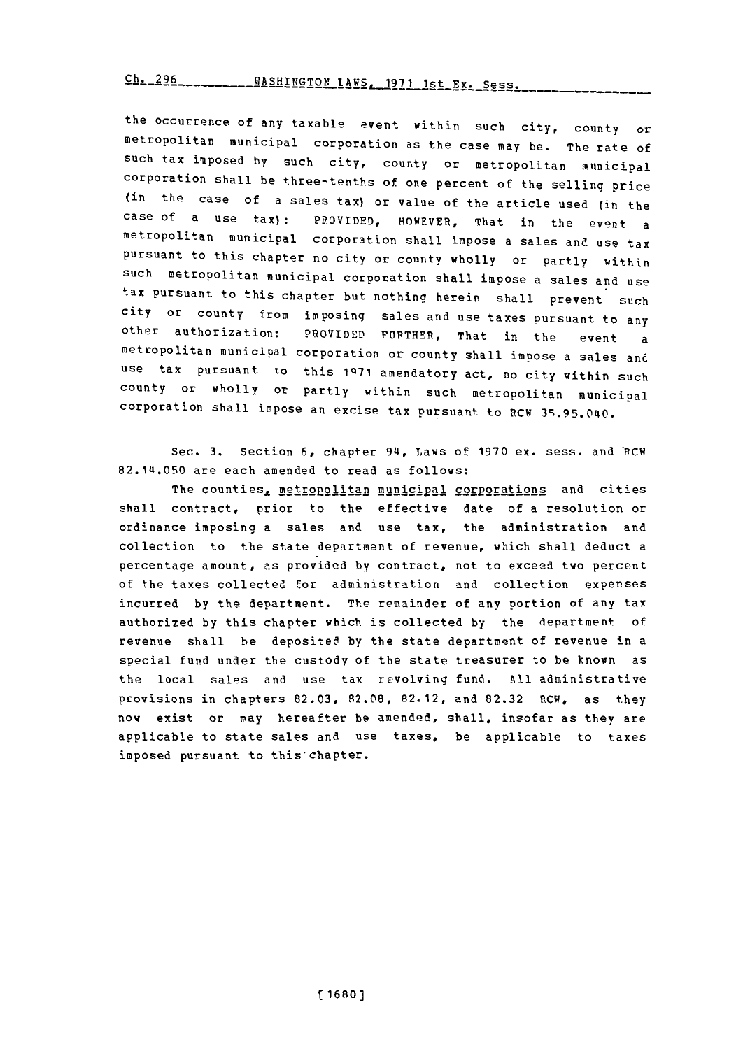## Ch. 296\_\_\_\_\_\_\_\_\_WASHINGTON\_IAWS, 1971\_1st\_Ex. Sess.

the occurrence of any taxable event within such city, county or<br>metropolitan municipal corporation as the case may be. The rate of such tax imposed by such city, county or metropolitan municipal corporation shall be three-tenths of one percent of the selling price (in the case of a sales tax) or value of the article used (in the case of a use tax): PROVIDED, HOWEVER, That in the event a<br>metropolitan municipal corporation shall impose a sales and use tax pursuant to this chapter no city or county wholly or partly within such metropolitan municipal corporation shall impose a sales and use tax pursuant to this chapter but nothing herein shall prevent such city or county from im posing sales and use taxes Pursuant to any other authorization: PROVIDED FUPTHIR, That in the event a metropolitan municipal corporation or county shall impose a sales and use tax pursuant to this **1q71** amendatory act, no city within such county or wholly or partly within such metropolitan municipal corporation shall impose an excise tax pursuant to RCW 3S.95.040.

Sec. **3.** Section **6,** chapter **9L4,** Laws **of 1970** ex. sess, and 'RCW 82.14.050 are each amended to read as **follows:**

The counties, metropolitan municipal corporations and cities shall contract, prior to the effective date of a resolution or ordinance imposing a sales and use tax, the administration and collection to the state department of revenue, which shall deduct a percentage amount, as provided by contract, not to exceed two percent of the taxes collected tor administration and collection expenses incurred **by** the department. The remainder **of** any portion of any tax authorized **by** this chapter which is collected **by** the department **of** revenue shall be deposited by the state department of revenue in a special fund under the custody of the state treasurer to be known as the local sal~s and use tax revolving fund. **Ali** administrative provisions in chapters **82.03,** 82.08, **82.12,** and **82.32** RCW, as they now exist or may hereafter be amended, shall, insofar as they are applicable to state sales and use taxes, be applicable to taxes imposed pursuant to this'chapter.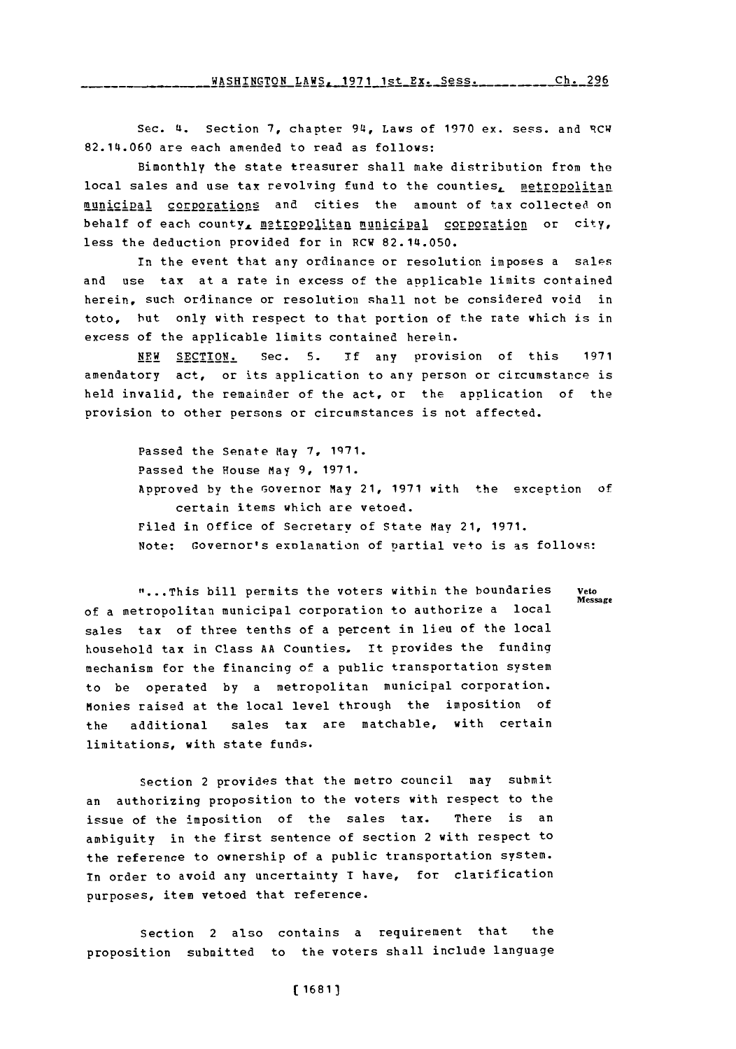Sec. U. section **7,** chapter 94, Laws of **1970** ex. sess. and 'Rcw 82.14.060 are each amended to read as follows:

Bimonthly the state treasurer shall make distribution from the local sales and use tax revolving fund to the counties, metropolitan municipal corporations and cities the amount of tax collected on behalf of each county, metropolitan municipal corporation or city, less the deduction provided for in RCW 82.14.050.

In the event that any ordinance or resolution imposes a sales and use tax at a rate in excess of the applicable limits contained herein, such ordinance or resolution shall not be considered void in toto, but only with respect to that portion of the rate which is in excess of the applicable limits contained herein.

NEW **SECTION.** Sec. **5. If** any provision of this **<sup>1971</sup>** amendatory act, or its application to any person or circumstance is held invalid, the remainder of the act, or the application of the provision to other persons or circumstances is not affected.

> Passed the Senate May 7, 1971. Passed the House May **9, 1971.** Approved **by** the Governor May 21, **1971** with the exception of certain items which are vetoed. Filed in office of Secretary of State May 21, **1971.** Note: Governor's explanation of partial veto is as follows:

> > **Message**

**..** .This bill permits the voters within the boundaries **Veto** of a metropolitan municipal corporation to authorize a local sales tax of three tenths of a percent in lieu of the local household tax in Class AA Counties. It provides the funding mechanism for the financing oF a public transportation system to be operated **by** a metropolitan municipal corporation. monies raised at the local level through the imposition of the additional sales tax are matchable, with certain limitations, with state funds.

Section 2 provides that the metro council may submit an authorizing proposition to the voters with respect to the issue of the imposition of the sales tax. There is an ambiguity in the first sentence of section 2 with respect to the reference to ownership of a public transportation system. In order to avoid any uncertainty I have, for clarification purposes, item vetoed that reference.

Section 2 also contains a requirement that the proposition submitted to the voters shall include language